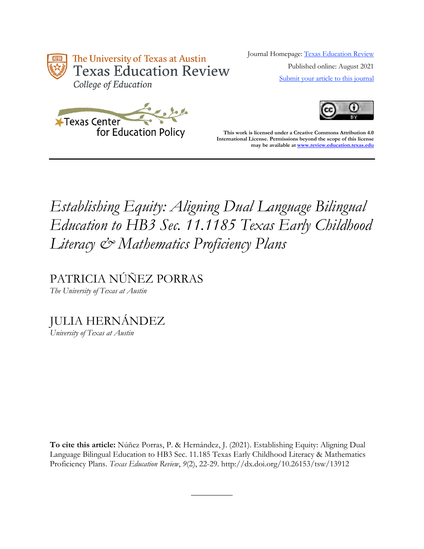

Journal Homepage: [Texas Education Review](https://review.education.utexas.edu/) Published online: August 2021 [Submit your article to this journal](https://review.education.utexas.edu/guidelines/)





**This work is licensed under a Creative Commons Attribution 4.0 International License. Permissions beyond the scope of this license may be available a[t www.review.education.texas.edu](http://www.review.education.texas.edu/)**

# *Establishing Equity: Aligning Dual Language Bilingual Education to HB3 Sec. 11.1185 Texas Early Childhood Literacy & Mathematics Proficiency Plans*

PATRICIA NÚÑEZ PORRAS *The University of Texas at Austin*

JULIA HERNÁNDEZ

*University of Texas at Austin*

**To cite this article:** Núñez Porras, P. & Hernández, J. (2021). Establishing Equity: Aligning Dual Language Bilingual Education to HB3 Sec. 11.185 Texas Early Childhood Literacy & Mathematics Proficiency Plans. *Texas Education Review*, *9*(2), 22-29. http://dx.doi.org/10.26153/tsw/13912

 $\overline{\phantom{a}}$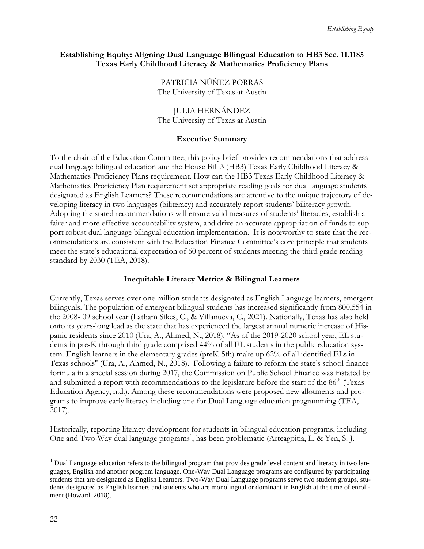#### **Establishing Equity: Aligning Dual Language Bilingual Education to HB3 Sec. 11.1185 Texas Early Childhood Literacy & Mathematics Proficiency Plans**

PATRICIA NÚÑEZ PORRAS The University of Texas at Austin

JULIA HERNÁNDEZ The University of Texas at Austin

#### **Executive Summary**

To the chair of the Education Committee, this policy brief provides recommendations that address dual language bilingual education and the House Bill 3 (HB3) Texas Early Childhood Literacy & Mathematics Proficiency Plans requirement. How can the HB3 Texas Early Childhood Literacy & Mathematics Proficiency Plan requirement set appropriate reading goals for dual language students designated as English Learners? These recommendations are attentive to the unique trajectory of developing literacy in two languages (biliteracy) and accurately report students' biliteracy growth. Adopting the stated recommendations will ensure valid measures of students' literacies, establish a fairer and more effective accountability system, and drive an accurate appropriation of funds to support robust dual language bilingual education implementation. It is noteworthy to state that the recommendations are consistent with the Education Finance Committee's core principle that students meet the state's educational expectation of 60 percent of students meeting the third grade reading standard by 2030 (TEA, 2018).

#### **Inequitable Literacy Metrics & Bilingual Learners**

Currently, Texas serves over one million students designated as English Language learners, emergent bilinguals. The population of emergent bilingual students has increased significantly from 800,554 in the 2008- 09 school year (Latham Sikes, C., & Villanueva, C., 2021). Nationally, Texas has also held onto its years-long lead as the state that has experienced the largest annual numeric increase of Hispanic residents since 2010 (Ura, A., Ahmed, N., 2018). "As of the 2019-2020 school year, EL students in pre-K through third grade comprised 44% of all EL students in the public education system. English learners in the elementary grades (preK-5th) make up 62% of all identified ELs in Texas schools'' (Ura, A., Ahmed, N., 2018). Following a failure to reform the state's school finance formula in a special session during 2017, the Commission on Public School Finance was instated by and submitted a report with recommendations to the legislature before the start of the 86<sup>th</sup> (Texas Education Agency, n.d.). Among these recommendations were proposed new allotments and programs to improve early literacy including one for Dual Language education programming (TEA, 2017).

Historically, reporting literacy development for students in bilingual education programs, including One and Two-Way dual language programs<sup>1</sup>, has been problematic (Arteagoitia, I., & Yen, S. J.

 $<sup>1</sup>$  Dual Language education refers to the bilingual program that provides grade level content and literacy in two lan-</sup> guages, English and another program language. One-Way Dual Language programs are configured by participating students that are designated as English Learners. Two-Way Dual Language programs serve two student groups, students designated as English learners and students who are monolingual or dominant in English at the time of enrollment (Howard, 2018).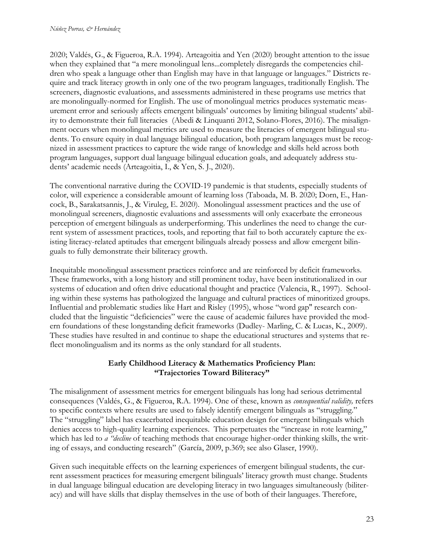2020; Valdés, G., & Figueroa, R.A. 1994). Arteagoitia and Yen (2020) brought attention to the issue when they explained that "a mere monolingual lens...completely disregards the competencies children who speak a language other than English may have in that language or languages." Districts require and track literacy growth in only one of the two program languages, traditionally English. The screeners, diagnostic evaluations, and assessments administered in these programs use metrics that are monolingually-normed for English. The use of monolingual metrics produces systematic measurement error and seriously affects emergent bilinguals' outcomes by limiting bilingual students' ability to demonstrate their full literacies (Abedi & Linquanti 2012, Solano-Flores, 2016). The misalignment occurs when monolingual metrics are used to measure the literacies of emergent bilingual students. To ensure equity in dual language bilingual education, both program languages must be recognized in assessment practices to capture the wide range of knowledge and skills held across both program languages, support dual language bilingual education goals, and adequately address students' academic needs (Arteagoitia, I., & Yen, S. J., 2020).

The conventional narrative during the COVID-19 pandemic is that students, especially students of color, will experience a considerable amount of learning loss (Taboada, M. B. 2020; Dorn, E., Hancock, B., Sarakatsannis, J., & Viruleg, E. 2020). Monolingual assessment practices and the use of monolingual screeners, diagnostic evaluations and assessments will only exacerbate the erroneous perception of emergent bilinguals as underperforming. This underlines the need to change the current system of assessment practices, tools, and reporting that fail to both accurately capture the existing literacy-related aptitudes that emergent bilinguals already possess and allow emergent bilinguals to fully demonstrate their biliteracy growth.

Inequitable monolingual assessment practices reinforce and are reinforced by deficit frameworks. These frameworks, with a long history and still prominent today, have been institutionalized in our systems of education and often drive educational thought and practice (Valencia, R., 1997). Schooling within these systems has pathologized the language and cultural practices of minoritized groups. Influential and problematic studies like Hart and Risley (1995), whose "word gap'' research concluded that the linguistic "deficiencies" were the cause of academic failures have provided the modern foundations of these longstanding deficit frameworks (Dudley- Marling, C. & Lucas, K., 2009). These studies have resulted in and continue to shape the educational structures and systems that reflect monolingualism and its norms as the only standard for all students.

# **Early Childhood Literacy & Mathematics Proficiency Plan: "Trajectories Toward Biliteracy"**

The misalignment of assessment metrics for emergent bilinguals has long had serious detrimental consequences (Valdés, G., & Figueroa, R.A. 1994). One of these, known as *consequential validity,* refers to specific contexts where results are used to falsely identify emergent bilinguals as "struggling." The "struggling" label has exacerbated inequitable education design for emergent bilinguals which denies access to high-quality learning experiences. This perpetuates the "increase in rote learning," which has led to *a "decline* of teaching methods that encourage higher-order thinking skills, the writing of essays, and conducting research" (García, 2009, p.369; see also Glaser, 1990).

Given such inequitable effects on the learning experiences of emergent bilingual students, the current assessment practices for measuring emergent bilinguals' literacy growth must change. Students in dual language bilingual education are developing literacy in two languages simultaneously (biliteracy) and will have skills that display themselves in the use of both of their languages. Therefore,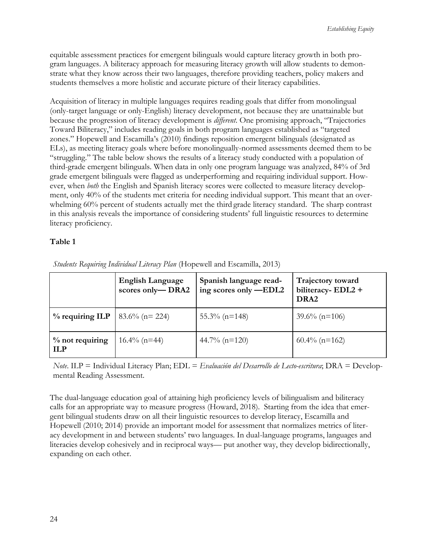equitable assessment practices for emergent bilinguals would capture literacy growth in both program languages. A biliteracy approach for measuring literacy growth will allow students to demonstrate what they know across their two languages, therefore providing teachers, policy makers and students themselves a more holistic and accurate picture of their literacy capabilities.

Acquisition of literacy in multiple languages requires reading goals that differ from monolingual (only-target language or only-English) literacy development, not because they are unattainable but because the progression of literacy development is *different*. One promising approach, "Trajectories Toward Biliteracy," includes reading goals in both program languages established as "targeted zones." Hopewell and Escamilla's (2010) findings reposition emergent bilinguals (designated as ELs), as meeting literacy goals where before monolingually-normed assessments deemed them to be "struggling." The table below shows the results of a literacy study conducted with a population of third-grade emergent bilinguals. When data in only one program language was analyzed, 84% of 3rd grade emergent bilinguals were flagged as underperforming and requiring individual support. However, when *both* the English and Spanish literacy scores were collected to measure literacy development, only 40% of the students met criteria for needing individual support. This meant that an overwhelming 60% percent of students actually met the third grade literacy standard. The sharp contrast in this analysis reveals the importance of considering students' full linguistic resources to determine literacy proficiency.

# **Table 1**

|                                  | <b>English Language</b><br>scores only-DRA2 | Spanish language read-<br>ing scores only -EDL2 | Trajectory toward<br>biliteracy- $EDL2 +$<br>DRA <sub>2</sub> |
|----------------------------------|---------------------------------------------|-------------------------------------------------|---------------------------------------------------------------|
| $%$ requiring ILP                | $83.6\%$ (n= 224)                           | $55.3\%$ (n=148)                                | $39.6\%$ (n=106)                                              |
| $\%$ not requiring<br><b>ILP</b> | $16.4\%$ (n=44)                             | 44.7% $(n=120)$                                 | $60.4\%$ (n=162)                                              |

*Students Requiring Individual Literacy Plan* (Hopewell and Escamilla, 2013)

*Note*. ILP = Individual Literacy Plan; EDL = *Evaluación del Desarrollo de Lecto-escritura*; DRA = Developmental Reading Assessment.

The dual-language education goal of attaining high proficiency levels of bilingualism and biliteracy calls for an appropriate way to measure progress (Howard, 2018). Starting from the idea that emergent bilingual students draw on all their linguistic resources to develop literacy, Escamilla and Hopewell (2010; 2014) provide an important model for assessment that normalizes metrics of literacy development in and between students' two languages. In dual-language programs, languages and literacies develop cohesively and in reciprocal ways— put another way, they develop bidirectionally, expanding on each other.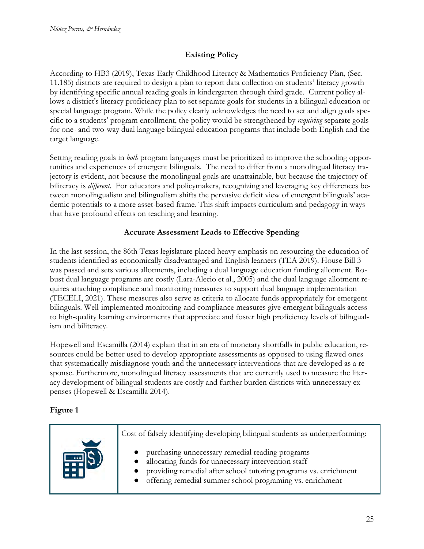# **Existing Policy**

According to HB3 (2019), Texas Early Childhood Literacy & Mathematics Proficiency Plan, (Sec. 11.185) districts are required to design a plan to report data collection on students' literacy growth by identifying specific annual reading goals in kindergarten through third grade. Current policy allows a district's literacy proficiency plan to set separate goals for students in a bilingual education or special language program. While the policy clearly acknowledges the need to set and align goals specific to a students' program enrollment, the policy would be strengthened by *requiring* separate goals for one- and two-way dual language bilingual education programs that include both English and the target language.

Setting reading goals in *both* program languages must be prioritized to improve the schooling opportunities and experiences of emergent bilinguals. The need to differ from a monolingual literacy trajectory is evident, not because the monolingual goals are unattainable, but because the trajectory of biliteracy is *different*. For educators and policymakers, recognizing and leveraging key differences between monolingualism and bilingualism shifts the pervasive deficit view of emergent bilinguals' academic potentials to a more asset-based frame. This shift impacts curriculum and pedagogy in ways that have profound effects on teaching and learning.

# **Accurate Assessment Leads to Effective Spending**

In the last session, the 86th Texas legislature placed heavy emphasis on resourcing the education of students identified as economically disadvantaged and English learners (TEA 2019). House Bill 3 was passed and sets various allotments, including a dual language education funding allotment. Robust dual language programs are costly (Lara-Alecio et al., 2005) and the dual language allotment requires attaching compliance and monitoring measures to support dual language implementation (TECELI, 2021). These measures also serve as criteria to allocate funds appropriately for emergent bilinguals. Well-implemented monitoring and compliance measures give emergent bilinguals access to high-quality learning environments that appreciate and foster high proficiency levels of bilingualism and biliteracy.

Hopewell and Escamilla (2014) explain that in an era of monetary shortfalls in public education, resources could be better used to develop appropriate assessments as opposed to using flawed ones that systematically misdiagnose youth and the unnecessary interventions that are developed as a response. Furthermore, monolingual literacy assessments that are currently used to measure the literacy development of bilingual students are costly and further burden districts with unnecessary expenses (Hopewell & Escamilla 2014).

# **Figure 1**

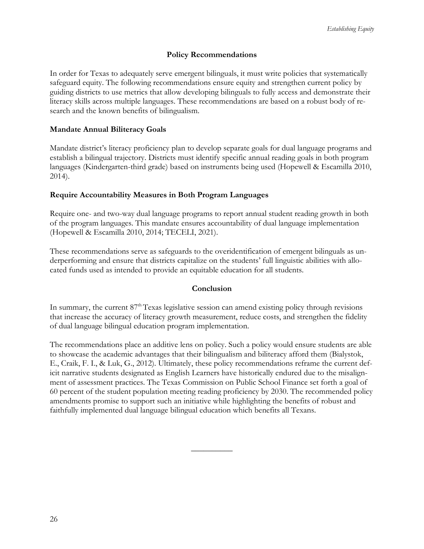# **Policy Recommendations**

In order for Texas to adequately serve emergent bilinguals, it must write policies that systematically safeguard equity. The following recommendations ensure equity and strengthen current policy by guiding districts to use metrics that allow developing bilinguals to fully access and demonstrate their literacy skills across multiple languages. These recommendations are based on a robust body of research and the known benefits of bilingualism.

# **Mandate Annual Biliteracy Goals**

Mandate district's literacy proficiency plan to develop separate goals for dual language programs and establish a bilingual trajectory. Districts must identify specific annual reading goals in both program languages (Kindergarten-third grade) based on instruments being used (Hopewell & Escamilla 2010, 2014).

## **Require Accountability Measures in Both Program Languages**

Require one- and two-way dual language programs to report annual student reading growth in both of the program languages. This mandate ensures accountability of dual language implementation (Hopewell & Escamilla 2010, 2014; TECELI, 2021).

These recommendations serve as safeguards to the overidentification of emergent bilinguals as underperforming and ensure that districts capitalize on the students' full linguistic abilities with allocated funds used as intended to provide an equitable education for all students.

## **Conclusion**

In summary, the current  $87<sup>th</sup>$  Texas legislative session can amend existing policy through revisions that increase the accuracy of literacy growth measurement, reduce costs, and strengthen the fidelity of dual language bilingual education program implementation.

The recommendations place an additive lens on policy. Such a policy would ensure students are able to showcase the academic advantages that their bilingualism and biliteracy afford them (Bialystok, E., Craik, F. I., & Luk, G., 2012). Ultimately, these policy recommendations reframe the current deficit narrative students designated as English Learners have historically endured due to the misalignment of assessment practices. The Texas Commission on Public School Finance set forth a goal of 60 percent of the student population meeting reading proficiency by 2030. The recommended policy amendments promise to support such an initiative while highlighting the benefits of robust and faithfully implemented dual language bilingual education which benefits all Texans.

 $\overline{\phantom{a}}$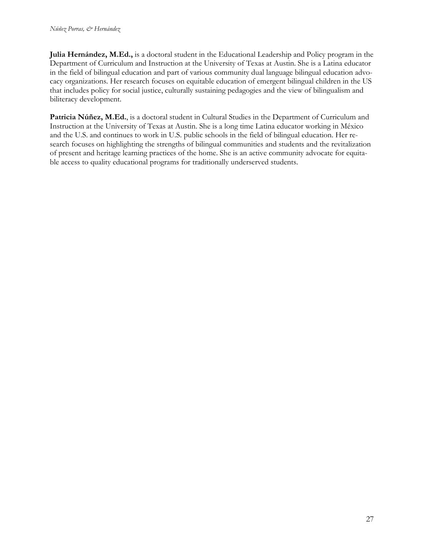**Julia Hernández, M.Ed.,** is a doctoral student in the Educational Leadership and Policy program in the Department of Curriculum and Instruction at the University of Texas at Austin. She is a Latina educator in the field of bilingual education and part of various community dual language bilingual education advocacy organizations. Her research focuses on equitable education of emergent bilingual children in the US that includes policy for social justice, culturally sustaining pedagogies and the view of bilingualism and biliteracy development.

**Patricia Núñez, M.Ed.**, is a doctoral student in Cultural Studies in the Department of Curriculum and Instruction at the University of Texas at Austin. She is a long time Latina educator working in México and the U.S. and continues to work in U.S. public schools in the field of bilingual education. Her research focuses on highlighting the strengths of bilingual communities and students and the revitalization of present and heritage learning practices of the home. She is an active community advocate for equitable access to quality educational programs for traditionally underserved students.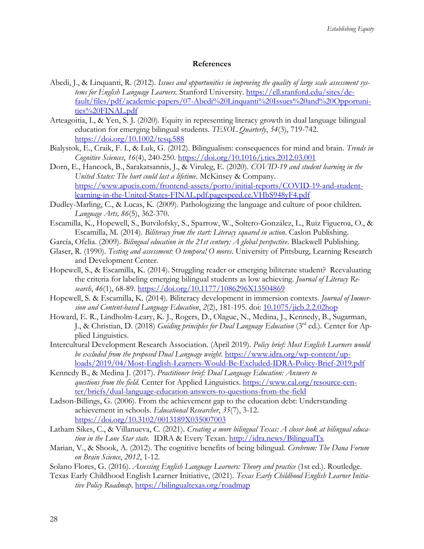#### **References**

- Abedi, J., & Linquanti, R. (2012). *Issues and opportunities in improving the quality of large scale assessment systems for English Language Learners.* Stanford University. [https://ell.stanford.edu/sites/de](https://ell.stanford.edu/sites/default/files/pdf/academic-papers/07-Abedi%20Linquanti%20Issues%20and%20Opportunities%20FINAL.pdf)[fault/files/pdf/academic-papers/07-Abedi%20Linquanti%20Issues%20and%20Opportuni](https://ell.stanford.edu/sites/default/files/pdf/academic-papers/07-Abedi%20Linquanti%20Issues%20and%20Opportunities%20FINAL.pdf)[ties%20FINAL.pdf](https://ell.stanford.edu/sites/default/files/pdf/academic-papers/07-Abedi%20Linquanti%20Issues%20and%20Opportunities%20FINAL.pdf)
- Arteagoitia, I., & Yen, S. J. (2020)*.* Equity in representing literacy growth in dual language bilingual education for emerging bilingual students. *TESOL Quarterly*, *54*(3), 719-742. <https://doi.org/10.1002/tesq.588>
- Bialystok, E., Craik, F. I., & Luk, G. (2012). Bilingualism: consequences for mind and brain. *Trends in Cognitive Sciences*, *16*(4), 240-250.<https://doi.org/10.1016/j.tics.2012.03.001>
- Dorn, E., Hancock, B., Sarakatsannis, J., & Viruleg, E. (2020). *COVID-19 and student learning in the United States: The hurt could last a lifetime.* McKinsey & Company. [https://www.apucis.com/frontend-assets/porto/initial-reports/COVID-19-and-student](https://www.apucis.com/frontend-assets/porto/initial-reports/COVID-19-and-student-learning-in-the-United-States-FINAL.pdf.pagespeed.ce.VHbS948yF4.pdf)[learning-in-the-United-States-FINAL.pdf.pagespeed.ce.VHbS948yF4.pdf](https://www.apucis.com/frontend-assets/porto/initial-reports/COVID-19-and-student-learning-in-the-United-States-FINAL.pdf.pagespeed.ce.VHbS948yF4.pdf)
- Dudley-Marling, C., & Lucas, K. (2009). Pathologizing the language and culture of poor children. *Language Arts, 86*(5), 362-370.
- Escamilla, K., Hopewell, S., Butvilofsky, S., Sparrow, W., Soltero-González, L., Ruiz Figueroa, O., & Escamilla, M. (2014). *Biliteracy from the start: Literacy squared in action*. Caslon Publishing.
- García, Ofelia. (2009). *Bilingual education in the 21st century: A global perspective*. Blackwell Publishing.
- Glaser, R. (1990). *Testing and assessment: O tempora! O mores*. University of Pittsburg, Learning Research and Development Center.
- Hopewell, S., & Escamilla, K. (2014). Struggling reader or emerging biliterate student? Reevaluating the criteria for labeling emerging bilingual students as low achieving. *Journal of Literacy Research*, *46*(1), 68-89. [https://doi.org/10.1177/1086296X13504869](https://doi.org/10.1177%2F1086296X13504869)
- Hopewell, S. & Escamilla, K. (2014). Biliteracy development in immersion contexts*. Journal of Immersion and Content-based Language Education*, *2*(2), 181-195. doi: [10.1075/jicb.2.2.02hop](https://www.researchgate.net/publication/265606139_Biliteracy_development_in_immersion_contexts)
- Howard, E. R., Lindholm-Leary, K. J., Rogers, D., Olague, N., Medina, J., Kennedy, B., Sugarman, J., & Christian, D. (2018) *Guiding principles for Dual Language Education* (3rd ed.). Center for Applied Linguistics.
- Intercultural Development Research Association. (April 2019). *Policy brief: Most English Learners would be excluded from the proposed Dual Language weight*. [https://www.idra.org/wp-content/up](https://www.idra.org/wp-content/uploads/2019/04/Most-English-Learners-Would-Be-Excluded-IDRA-Policy-Brief-2019.pdf)[loads/2019/04/Most-English-Learners-Would-Be-Excluded-IDRA-Policy-Brief-2019.pdf](https://www.idra.org/wp-content/uploads/2019/04/Most-English-Learners-Would-Be-Excluded-IDRA-Policy-Brief-2019.pdf)
- Kennedy B., & Medina J. (2017). *Practitioner brief: Dual Language Education: Answers to questions from the field.* Center for Applied Linguistics. [https://www.cal.org/resource-cen](https://www.cal.org/resource-center/briefs/dual-language-education-answers-to-questions-from-the-field)[ter/briefs/dual-language-education-answers-to-questions-from-the-field](https://www.cal.org/resource-center/briefs/dual-language-education-answers-to-questions-from-the-field)
- Ladson-Billings, G. (2006). From the achievement gap to the education debt: Understanding achievement in schools. *Educational Researcher*, *35*(7), 3-12. [https://doi.org/10.3102/0013189X035007003](https://doi.org/10.3102%2F0013189X035007003)
- Latham Sikes, C., & Villanueva, C. (2021). *Creating a more bilingual Texas: A closer look at bilingual education in the Lone Star state.* IDRA & Every Texan.<http://idra.news/BilingualTx>
- Marian, V., & Shook, A. (2012). The cognitive benefits of being bilingual. *Cerebrum: The Dana Forum on Brain Science*, *2012*, 1-12.
- Solano Flores, G. (2016). *Assessing English Language Learners: Theory and practice* (1st ed.). Routledge.
- Texas Early Childhood English Learner Initiative, (2021). *Texas Early Childhood English Learner Initiative Policy Roadmap,* <https://bilingualtexas.org/roadmap>